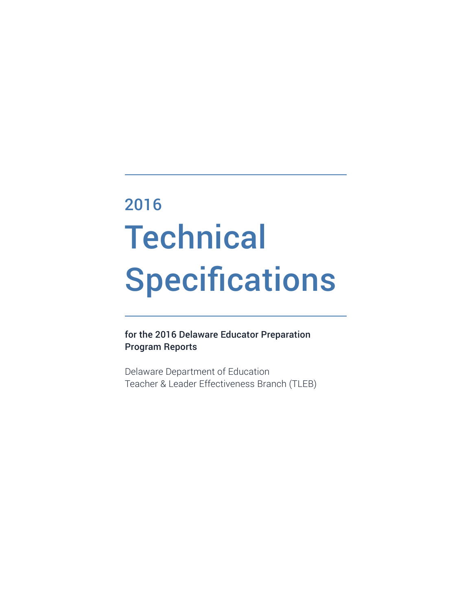# **Technical** Specifications 2016

for the 2016 Delaware Educator Preparation Program Reports

Delaware Department of Education Teacher & Leader Effectiveness Branch (TLEB)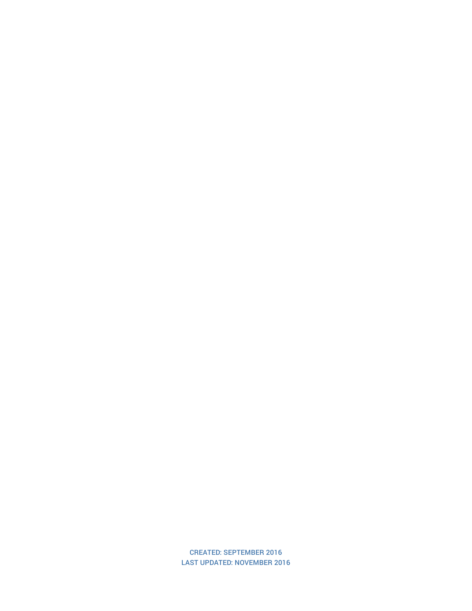CREATED: SEPTEMBER 2016 LAST UPDATED: NOVEMBER 2016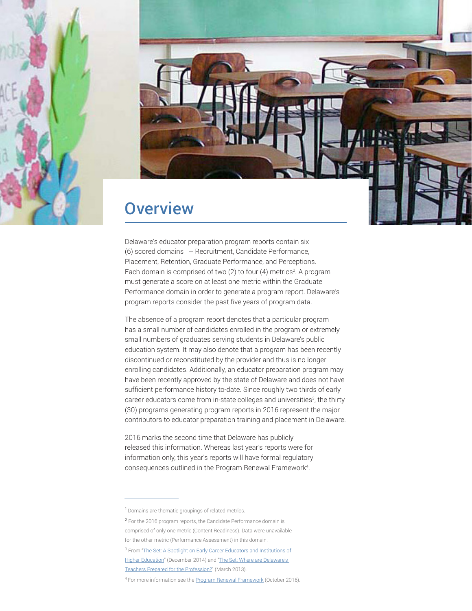



### **Overview**

Delaware's educator preparation program reports contain six (6) scored domains<sup>1</sup> – Recruitment, Candidate Performance, Placement, Retention, Graduate Performance, and Perceptions. Each domain is comprised of two (2) to four (4) metrics<sup>2</sup>. A program must generate a score on at least one metric within the Graduate Performance domain in order to generate a program report. Delaware's program reports consider the past five years of program data.

The absence of a program report denotes that a particular program has a small number of candidates enrolled in the program or extremely small numbers of graduates serving students in Delaware's public education system. It may also denote that a program has been recently discontinued or reconstituted by the provider and thus is no longer enrolling candidates. Additionally, an educator preparation program may have been recently approved by the state of Delaware and does not have sufficient performance history to-date. Since roughly two thirds of early career educators come from in-state colleges and universities<sup>3</sup>, the thirty (30) programs generating program reports in 2016 represent the major contributors to educator preparation training and placement in Delaware.

2016 marks the second time that Delaware has publicly released this information. Whereas last year's reports were for information only, this year's reports will have formal regulatory consequences outlined in the Program Renewal Framework4 .

<sup>&</sup>lt;sup>1</sup> Domains are thematic groupings of related metrics.

<sup>&</sup>lt;sup>2</sup> For the 2016 program reports, the Candidate Performance domain is comprised of only one metric (Content Readiness). Data were unavailable for the other metric (Performance Assessment) in this domain.

<sup>&</sup>lt;sup>3</sup> From "The Set: A Spotlight on Early Career Educators and Institutions of [Higher Education"](http://www.doe.k12.de.us/cms/lib09/DE01922744/Centricity/domain/271/the set/December_Set_2014.pdf) (December 2014) and "The Set: Where are Delaware's [Teachers Prepared for the Profession?](http://www.doe.k12.de.us/cms/lib09/DE01922744/Centricity/domain/271/the set/March_Set_2013.pdf)" (March 2013).

<sup>&</sup>lt;sup>4</sup> For more information see the [Program Renewal Framework](http://www.doe.k12.de.us/cms/lib09/DE01922744/Centricity/Domain/398/Program Renewal Framework.pdf) (October 2016).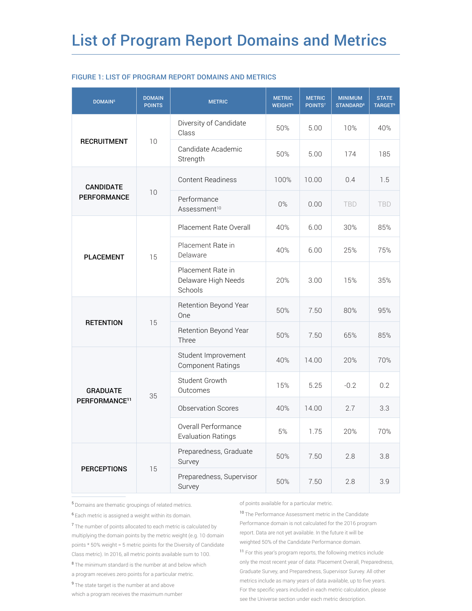| DOMAIN <sup>5</sup>                          | <b>DOMAIN</b><br><b>POINTS</b> | <b>METRIC</b>                                       | <b>METRIC</b><br><b>WEIGHT<sup>6</sup></b> | <b>METRIC</b><br>POINTS <sup>7</sup> | <b>MINIMUM</b><br><b>STANDARD<sup>8</sup></b> | <b>STATE</b><br><b>TARGET<sup>9</sup></b> |
|----------------------------------------------|--------------------------------|-----------------------------------------------------|--------------------------------------------|--------------------------------------|-----------------------------------------------|-------------------------------------------|
| <b>RECRUITMENT</b>                           | 10                             | Diversity of Candidate<br>Class                     | 50%                                        | 5.00                                 | 10%                                           | 40%                                       |
|                                              |                                | Candidate Academic<br>Strength                      | 50%                                        | 5.00                                 | 174                                           | 185                                       |
| <b>CANDIDATE</b><br><b>PERFORMANCE</b>       | 10                             | <b>Content Readiness</b>                            | 100%                                       | 10.00                                | 0.4                                           | 1.5                                       |
|                                              |                                | Performance<br>Assessment <sup>10</sup>             | 0%                                         | 0.00                                 | <b>TBD</b>                                    | <b>TBD</b>                                |
|                                              | 15                             | Placement Rate Overall                              | 40%                                        | 6.00                                 | 30%                                           | 85%                                       |
| <b>PLACEMENT</b>                             |                                | Placement Rate in<br>Delaware                       | 40%                                        | 6.00                                 | 25%                                           | 75%                                       |
|                                              |                                | Placement Rate in<br>Delaware High Needs<br>Schools | 20%                                        | 3.00                                 | 15%                                           | 35%                                       |
| <b>RETENTION</b>                             | 15                             | Retention Beyond Year<br>One                        | 50%                                        | 7.50                                 | 80%                                           | 95%                                       |
|                                              |                                | Retention Beyond Year<br>Three                      | 50%                                        | 7.50                                 | 65%                                           | 85%                                       |
| <b>GRADUATE</b><br>PERFORMANCE <sup>11</sup> | 35                             | Student Improvement<br><b>Component Ratings</b>     | 40%                                        | 14.00                                | 20%                                           | 70%                                       |
|                                              |                                | Student Growth<br>Outcomes                          | 15%                                        | 5.25                                 | $-0.2$                                        | 0.2                                       |
|                                              |                                | <b>Observation Scores</b>                           | 40%                                        | 14.00                                | 2.7                                           | 3.3                                       |
|                                              |                                | Overall Performance<br><b>Evaluation Ratings</b>    | 5%                                         | 1.75                                 | 20%                                           | 70%                                       |
| <b>PERCEPTIONS</b>                           | 15                             | Preparedness, Graduate<br>Survey                    | 50%                                        | 7.50                                 | 2.8                                           | 3.8                                       |
|                                              |                                | Preparedness, Supervisor<br>Survey                  | 50%                                        | 7.50                                 | 2.8                                           | 3.9                                       |

#### FIGURE 1: LIST OF PROGRAM REPORT DOMAINS AND METRICS

<sup>5</sup>Domains are thematic groupings of related metrics.

<sup>6</sup>Each metric is assigned a weight within its domain.

<sup>7</sup>The number of points allocated to each metric is calculated by multiplying the domain points by the metric weight (e.g. 10 domain points \* 50% weight = 5 metric points for the Diversity of Candidate Class metric). In 2016, all metric points available sum to 100.

<sup>8</sup>The minimum standard is the number at and below which a program receives zero points for a particular metric.

<sup>9</sup>The state target is the number at and above

which a program receives the maximum number

of points available for a particular metric.

<sup>10</sup>The Performance Assessment metric in the Candidate Performance domain is not calculated for the 2016 program report. Data are not yet available. In the future it will be weighted 50% of the Candidate Performance domain.

<sup>11</sup> For this year's program reports, the following metrics include only the most recent year of data: Placement Overall, Preparedness, Graduate Survey, and Preparedness, Supervisor Survey. All other metrics include as many years of data available, up to five years. For the specific years included in each metric calculation, please see the Universe section under each metric description.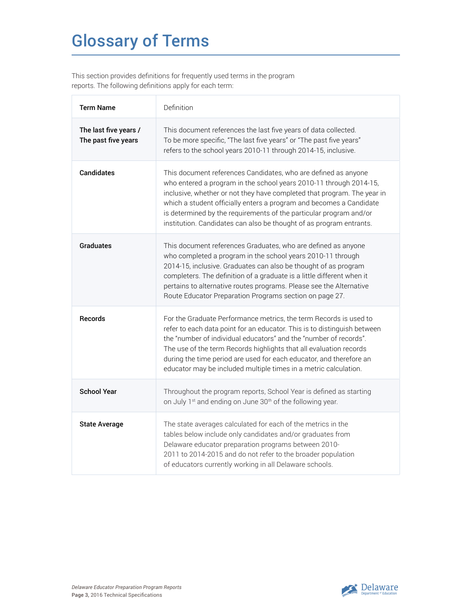## Glossary of Terms

This section provides definitions for frequently used terms in the program reports. The following definitions apply for each term:

| <b>Term Name</b>                             | Definition                                                                                                                                                                                                                                                                                                                                                                                                                          |
|----------------------------------------------|-------------------------------------------------------------------------------------------------------------------------------------------------------------------------------------------------------------------------------------------------------------------------------------------------------------------------------------------------------------------------------------------------------------------------------------|
| The last five years /<br>The past five years | This document references the last five years of data collected.<br>To be more specific, "The last five years" or "The past five years"<br>refers to the school years 2010-11 through 2014-15, inclusive.                                                                                                                                                                                                                            |
| <b>Candidates</b>                            | This document references Candidates, who are defined as anyone<br>who entered a program in the school years 2010-11 through 2014-15,<br>inclusive, whether or not they have completed that program. The year in<br>which a student officially enters a program and becomes a Candidate<br>is determined by the requirements of the particular program and/or<br>institution. Candidates can also be thought of as program entrants. |
| <b>Graduates</b>                             | This document references Graduates, who are defined as anyone<br>who completed a program in the school years 2010-11 through<br>2014-15, inclusive. Graduates can also be thought of as program<br>completers. The definition of a graduate is a little different when it<br>pertains to alternative routes programs. Please see the Alternative<br>Route Educator Preparation Programs section on page 27.                         |
| <b>Records</b>                               | For the Graduate Performance metrics, the term Records is used to<br>refer to each data point for an educator. This is to distinguish between<br>the "number of individual educators" and the "number of records".<br>The use of the term Records highlights that all evaluation records<br>during the time period are used for each educator, and therefore an<br>educator may be included multiple times in a metric calculation. |
| <b>School Year</b>                           | Throughout the program reports, School Year is defined as starting<br>on July 1 <sup>st</sup> and ending on June 30 <sup>th</sup> of the following year.                                                                                                                                                                                                                                                                            |
| <b>State Average</b>                         | The state averages calculated for each of the metrics in the<br>tables below include only candidates and/or graduates from<br>Delaware educator preparation programs between 2010-<br>2011 to 2014-2015 and do not refer to the broader population<br>of educators currently working in all Delaware schools.                                                                                                                       |

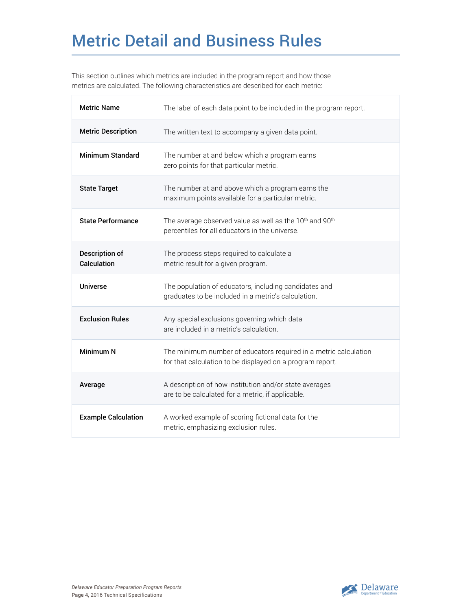## Metric Detail and Business Rules

This section outlines which metrics are included in the program report and how those metrics are calculated. The following characteristics are described for each metric:

| <b>Metric Name</b>                   | The label of each data point to be included in the program report.                                                                |
|--------------------------------------|-----------------------------------------------------------------------------------------------------------------------------------|
| <b>Metric Description</b>            | The written text to accompany a given data point.                                                                                 |
| Minimum Standard                     | The number at and below which a program earns<br>zero points for that particular metric.                                          |
| <b>State Target</b>                  | The number at and above which a program earns the<br>maximum points available for a particular metric.                            |
| <b>State Performance</b>             | The average observed value as well as the 10 <sup>th</sup> and 90 <sup>th</sup><br>percentiles for all educators in the universe. |
| <b>Description of</b><br>Calculation | The process steps required to calculate a<br>metric result for a given program.                                                   |
| <b>Universe</b>                      | The population of educators, including candidates and<br>graduates to be included in a metric's calculation.                      |
| <b>Exclusion Rules</b>               | Any special exclusions governing which data<br>are included in a metric's calculation.                                            |
| <b>Minimum N</b>                     | The minimum number of educators required in a metric calculation<br>for that calculation to be displayed on a program report.     |
| Average                              | A description of how institution and/or state averages<br>are to be calculated for a metric, if applicable.                       |
| <b>Example Calculation</b>           | A worked example of scoring fictional data for the<br>metric, emphasizing exclusion rules.                                        |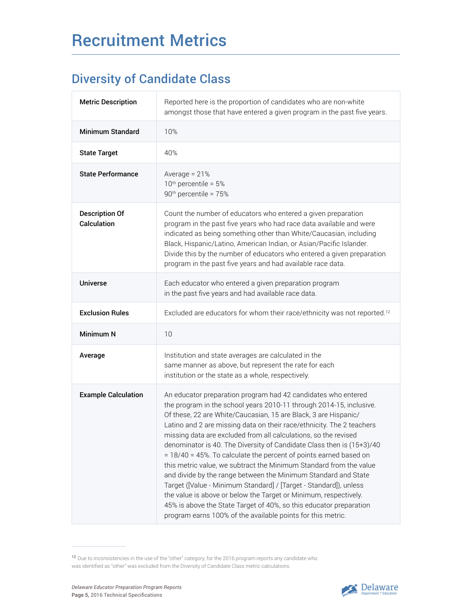### Diversity of Candidate Class

| <b>Metric Description</b>            | Reported here is the proportion of candidates who are non-white<br>amongst those that have entered a given program in the past five years.                                                                                                                                                                                                                                                                                                                                                                                                                                                                                                                                                                                                                                                                                                                                                                              |
|--------------------------------------|-------------------------------------------------------------------------------------------------------------------------------------------------------------------------------------------------------------------------------------------------------------------------------------------------------------------------------------------------------------------------------------------------------------------------------------------------------------------------------------------------------------------------------------------------------------------------------------------------------------------------------------------------------------------------------------------------------------------------------------------------------------------------------------------------------------------------------------------------------------------------------------------------------------------------|
| <b>Minimum Standard</b>              | 10%                                                                                                                                                                                                                                                                                                                                                                                                                                                                                                                                                                                                                                                                                                                                                                                                                                                                                                                     |
| <b>State Target</b>                  | 40%                                                                                                                                                                                                                                                                                                                                                                                                                                                                                                                                                                                                                                                                                                                                                                                                                                                                                                                     |
| <b>State Performance</b>             | Average = $21%$<br>$10th$ percentile = $5%$<br>90 <sup>th</sup> percentile = 75%                                                                                                                                                                                                                                                                                                                                                                                                                                                                                                                                                                                                                                                                                                                                                                                                                                        |
| <b>Description Of</b><br>Calculation | Count the number of educators who entered a given preparation<br>program in the past five years who had race data available and were<br>indicated as being something other than White/Caucasian, including<br>Black, Hispanic/Latino, American Indian, or Asian/Pacific Islander.<br>Divide this by the number of educators who entered a given preparation<br>program in the past five years and had available race data.                                                                                                                                                                                                                                                                                                                                                                                                                                                                                              |
| <b>Universe</b>                      | Each educator who entered a given preparation program<br>in the past five years and had available race data.                                                                                                                                                                                                                                                                                                                                                                                                                                                                                                                                                                                                                                                                                                                                                                                                            |
| <b>Exclusion Rules</b>               | Excluded are educators for whom their race/ethnicity was not reported. <sup>12</sup>                                                                                                                                                                                                                                                                                                                                                                                                                                                                                                                                                                                                                                                                                                                                                                                                                                    |
| Minimum N                            | 10                                                                                                                                                                                                                                                                                                                                                                                                                                                                                                                                                                                                                                                                                                                                                                                                                                                                                                                      |
| Average                              | Institution and state averages are calculated in the<br>same manner as above, but represent the rate for each<br>institution or the state as a whole, respectively.                                                                                                                                                                                                                                                                                                                                                                                                                                                                                                                                                                                                                                                                                                                                                     |
| <b>Example Calculation</b>           | An educator preparation program had 42 candidates who entered<br>the program in the school years 2010-11 through 2014-15, inclusive.<br>Of these, 22 are White/Caucasian, 15 are Black, 3 are Hispanic/<br>Latino and 2 are missing data on their race/ethnicity. The 2 teachers<br>missing data are excluded from all calculations, so the revised<br>denominator is 40. The Diversity of Candidate Class then is (15+3)/40<br>= 18/40 = 45%. To calculate the percent of points earned based on<br>this metric value, we subtract the Minimum Standard from the value<br>and divide by the range between the Minimum Standard and State<br>Target ([Value - Minimum Standard] / [Target - Standard]), unless<br>the value is above or below the Target or Minimum, respectively.<br>45% is above the State Target of 40%, so this educator preparation<br>program earns 100% of the available points for this metric. |

<sup>12</sup> Due to inconsistencies in the use of the "other" category, for the 2016 program reports any candidate who was identified as "other" was excluded from the Diversity of Candidate Class metric calculations.

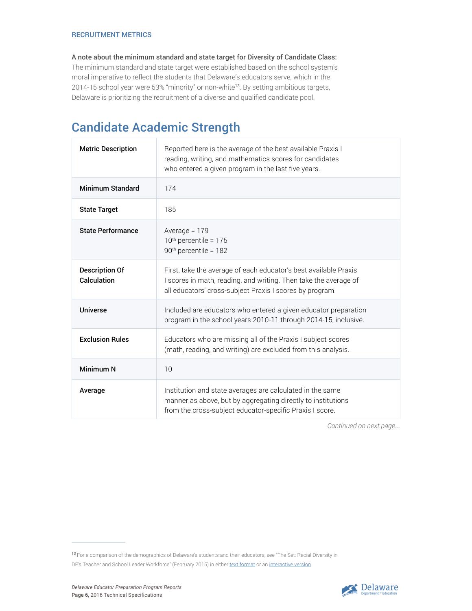#### RECRUITMENT METRICS

A note about the minimum standard and state target for Diversity of Candidate Class: The minimum standard and state target were established based on the school system's moral imperative to reflect the students that Delaware's educators serve, which in the 2014-15 school year were 53% "minority" or non-white<sup>13</sup>. By setting ambitious targets, Delaware is prioritizing the recruitment of a diverse and qualified candidate pool.

### Candidate Academic Strength

| <b>Metric Description</b>            | Reported here is the average of the best available Praxis I<br>reading, writing, and mathematics scores for candidates<br>who entered a given program in the last five years.                    |
|--------------------------------------|--------------------------------------------------------------------------------------------------------------------------------------------------------------------------------------------------|
| <b>Minimum Standard</b>              | 174                                                                                                                                                                                              |
| <b>State Target</b>                  | 185                                                                                                                                                                                              |
| <b>State Performance</b>             | Average = $179$<br>$10th$ percentile = 175<br>90 <sup>th</sup> percentile = 182                                                                                                                  |
| <b>Description Of</b><br>Calculation | First, take the average of each educator's best available Praxis<br>I scores in math, reading, and writing. Then take the average of<br>all educators' cross-subject Praxis I scores by program. |
| Universe                             | Included are educators who entered a given educator preparation<br>program in the school years 2010-11 through 2014-15, inclusive.                                                               |
| <b>Exclusion Rules</b>               | Educators who are missing all of the Praxis I subject scores<br>(math, reading, and writing) are excluded from this analysis.                                                                    |
| Minimum N                            | 10                                                                                                                                                                                               |
| Average                              | Institution and state averages are calculated in the same<br>manner as above, but by aggregating directly to institutions<br>from the cross-subject educator-specific Praxis I score.            |



<sup>13</sup>For a comparison of the demographics of Delaware's students and their educators, see "The Set: Racial Diversity in DE's Teacher and School Leader Workforce" (February 2015) in either [text format](http://dedoe.schoolwires.net/cms/lib09/DE01922744/Centricity/domain/271/the%20set/February_Set_2015.pdf) or an [interactive version](http://www.doe.k12.de.us/Page/2154).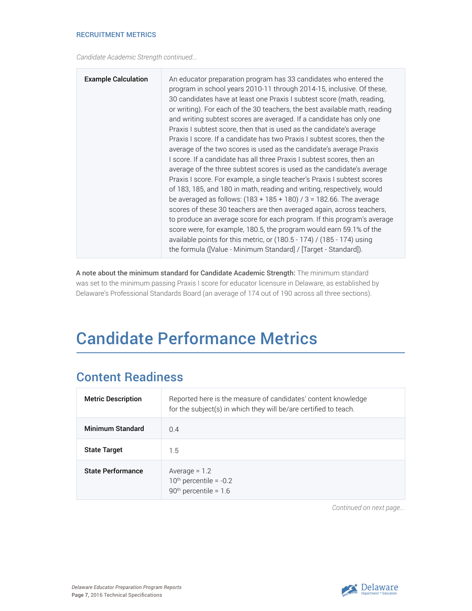#### RECRUITMENT METRICS

*Candidate Academic Strength continued...*

| <b>Example Calculation</b><br>An educator preparation program has 33 candidates who entered the<br>program in school years 2010-11 through 2014-15, inclusive. Of these,<br>30 candidates have at least one Praxis I subtest score (math, reading,<br>or writing). For each of the 30 teachers, the best available math, reading<br>and writing subtest scores are averaged. If a candidate has only one<br>Praxis I subtest score, then that is used as the candidate's average<br>Praxis I score. If a candidate has two Praxis I subtest scores, then the<br>average of the two scores is used as the candidate's average Praxis<br>I score. If a candidate has all three Praxis I subtest scores, then an<br>average of the three subtest scores is used as the candidate's average<br>Praxis I score. For example, a single teacher's Praxis I subtest scores<br>of 183, 185, and 180 in math, reading and writing, respectively, would<br>be averaged as follows: $(183 + 185 + 180)$ / 3 = 182.66. The average<br>scores of these 30 teachers are then averaged again, across teachers,<br>to produce an average score for each program. If this program's average<br>score were, for example, 180.5, the program would earn 59.1% of the<br>available points for this metric, or $(180.5 - 174)$ / $(185 - 174)$ using<br>the formula ([Value - Minimum Standard] / [Target - Standard]). |
|---------------------------------------------------------------------------------------------------------------------------------------------------------------------------------------------------------------------------------------------------------------------------------------------------------------------------------------------------------------------------------------------------------------------------------------------------------------------------------------------------------------------------------------------------------------------------------------------------------------------------------------------------------------------------------------------------------------------------------------------------------------------------------------------------------------------------------------------------------------------------------------------------------------------------------------------------------------------------------------------------------------------------------------------------------------------------------------------------------------------------------------------------------------------------------------------------------------------------------------------------------------------------------------------------------------------------------------------------------------------------------------------------|
|---------------------------------------------------------------------------------------------------------------------------------------------------------------------------------------------------------------------------------------------------------------------------------------------------------------------------------------------------------------------------------------------------------------------------------------------------------------------------------------------------------------------------------------------------------------------------------------------------------------------------------------------------------------------------------------------------------------------------------------------------------------------------------------------------------------------------------------------------------------------------------------------------------------------------------------------------------------------------------------------------------------------------------------------------------------------------------------------------------------------------------------------------------------------------------------------------------------------------------------------------------------------------------------------------------------------------------------------------------------------------------------------------|

A note about the minimum standard for Candidate Academic Strength: The minimum standard was set to the minimum passing Praxis I score for educator licensure in Delaware, as established by Delaware's Professional Standards Board (an average of 174 out of 190 across all three sections).

## Candidate Performance Metrics

### Content Readiness

| <b>Metric Description</b> | Reported here is the measure of candidates' content knowledge<br>for the subject(s) in which they will be/are certified to teach. |
|---------------------------|-----------------------------------------------------------------------------------------------------------------------------------|
| <b>Minimum Standard</b>   | 0.4                                                                                                                               |
| <b>State Target</b>       | 1.5                                                                                                                               |
| <b>State Performance</b>  | Average $= 1.2$<br>$10th$ percentile = $-0.2$<br>$90th$ percentile = 1.6                                                          |

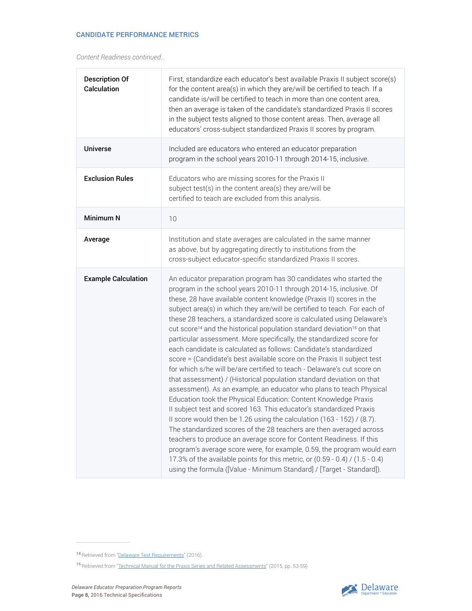#### CANDIDATE PERFORMANCE METRICS

*Content Readiness continued...*

| <b>Description Of</b><br>Calculation | First, standardize each educator's best available Praxis II subject score(s)<br>for the content area(s) in which they are/will be certified to teach. If a<br>candidate is/will be certified to teach in more than one content area,<br>then an average is taken of the candidate's standardized Praxis II scores<br>in the subject tests aligned to those content areas. Then, average all<br>educators' cross-subject standardized Praxis II scores by program.                                                                                                                                                                                                                                                                                                                                                                                                                                                                                                                                                                                                                                                                                                                                                                                                                                                                                                                                                                                                                                                                |
|--------------------------------------|----------------------------------------------------------------------------------------------------------------------------------------------------------------------------------------------------------------------------------------------------------------------------------------------------------------------------------------------------------------------------------------------------------------------------------------------------------------------------------------------------------------------------------------------------------------------------------------------------------------------------------------------------------------------------------------------------------------------------------------------------------------------------------------------------------------------------------------------------------------------------------------------------------------------------------------------------------------------------------------------------------------------------------------------------------------------------------------------------------------------------------------------------------------------------------------------------------------------------------------------------------------------------------------------------------------------------------------------------------------------------------------------------------------------------------------------------------------------------------------------------------------------------------|
| <b>Universe</b>                      | Included are educators who entered an educator preparation<br>program in the school years 2010-11 through 2014-15, inclusive.                                                                                                                                                                                                                                                                                                                                                                                                                                                                                                                                                                                                                                                                                                                                                                                                                                                                                                                                                                                                                                                                                                                                                                                                                                                                                                                                                                                                    |
| <b>Exclusion Rules</b>               | Educators who are missing scores for the Praxis II<br>subject test(s) in the content area(s) they are/will be<br>certified to teach are excluded from this analysis.                                                                                                                                                                                                                                                                                                                                                                                                                                                                                                                                                                                                                                                                                                                                                                                                                                                                                                                                                                                                                                                                                                                                                                                                                                                                                                                                                             |
| Minimum N                            | 10                                                                                                                                                                                                                                                                                                                                                                                                                                                                                                                                                                                                                                                                                                                                                                                                                                                                                                                                                                                                                                                                                                                                                                                                                                                                                                                                                                                                                                                                                                                               |
| Average                              | Institution and state averages are calculated in the same manner<br>as above, but by aggregating directly to institutions from the<br>cross-subject educator-specific standardized Praxis II scores.                                                                                                                                                                                                                                                                                                                                                                                                                                                                                                                                                                                                                                                                                                                                                                                                                                                                                                                                                                                                                                                                                                                                                                                                                                                                                                                             |
| <b>Example Calculation</b>           | An educator preparation program has 30 candidates who started the<br>program in the school years 2010-11 through 2014-15, inclusive. Of<br>these, 28 have available content knowledge (Praxis II) scores in the<br>subject area(s) in which they are/will be certified to teach. For each of<br>these 28 teachers, a standardized score is calculated using Delaware's<br>cut score <sup>14</sup> and the historical population standard deviation <sup>15</sup> on that<br>particular assessment. More specifically, the standardized score for<br>each candidate is calculated as follows: Candidate's standardized<br>score = (Candidate's best available score on the Praxis II subject test<br>for which s/he will be/are certified to teach - Delaware's cut score on<br>that assessment) / (Historical population standard deviation on that<br>assessment). As an example, an educator who plans to teach Physical<br>Education took the Physical Education: Content Knowledge Praxis<br>Il subject test and scored 163. This educator's standardized Praxis<br>Il score would then be 1.26 using the calculation (163 - 152) / (8.7).<br>The standardized scores of the 28 teachers are then averaged across<br>teachers to produce an average score for Content Readiness. If this<br>program's average score were, for example, 0.59, the program would earn<br>17.3% of the available points for this metric, or (0.59 - 0.4) / (1.5 - 0.4)<br>using the formula ([Value - Minimum Standard] / [Target - Standard]). |



<sup>14</sup> Retrieved from ["Delaware Test Requirements"](https://www.ets.org/praxis/de/requirements/) (2016).

<sup>15</sup> Retrieved from "[Technical Manual for the Praxis Series and Related Assessments](https://www.ets.org/s/praxis/pdf/technical_manual.pdf)" (2015, pp. 53-59)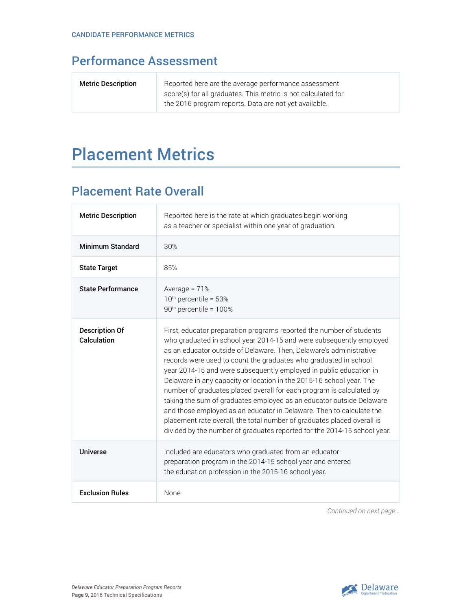### Performance Assessment

| <b>Metric Description</b> | Reported here are the average performance assessment          |
|---------------------------|---------------------------------------------------------------|
|                           | score(s) for all graduates. This metric is not calculated for |
|                           | the 2016 program reports. Data are not yet available.         |

## Placement Metrics

### Placement Rate Overall

| <b>Metric Description</b>            | Reported here is the rate at which graduates begin working<br>as a teacher or specialist within one year of graduation.                                                                                                                                                                                                                                                                                                                                                                                                                                                                                                                                                                                                                                                                                             |
|--------------------------------------|---------------------------------------------------------------------------------------------------------------------------------------------------------------------------------------------------------------------------------------------------------------------------------------------------------------------------------------------------------------------------------------------------------------------------------------------------------------------------------------------------------------------------------------------------------------------------------------------------------------------------------------------------------------------------------------------------------------------------------------------------------------------------------------------------------------------|
| Minimum Standard                     | 30%                                                                                                                                                                                                                                                                                                                                                                                                                                                                                                                                                                                                                                                                                                                                                                                                                 |
| <b>State Target</b>                  | 85%                                                                                                                                                                                                                                                                                                                                                                                                                                                                                                                                                                                                                                                                                                                                                                                                                 |
| <b>State Performance</b>             | Average = $71%$<br>$10th$ percentile = 53%<br>90 <sup>th</sup> percentile = 100%                                                                                                                                                                                                                                                                                                                                                                                                                                                                                                                                                                                                                                                                                                                                    |
| <b>Description Of</b><br>Calculation | First, educator preparation programs reported the number of students<br>who graduated in school year 2014-15 and were subsequently employed<br>as an educator outside of Delaware. Then, Delaware's administrative<br>records were used to count the graduates who graduated in school<br>year 2014-15 and were subsequently employed in public education in<br>Delaware in any capacity or location in the 2015-16 school year. The<br>number of graduates placed overall for each program is calculated by<br>taking the sum of graduates employed as an educator outside Delaware<br>and those employed as an educator in Delaware. Then to calculate the<br>placement rate overall, the total number of graduates placed overall is<br>divided by the number of graduates reported for the 2014-15 school year. |
| Universe                             | Included are educators who graduated from an educator<br>preparation program in the 2014-15 school year and entered<br>the education profession in the 2015-16 school year.                                                                                                                                                                                                                                                                                                                                                                                                                                                                                                                                                                                                                                         |
| <b>Exclusion Rules</b>               | None                                                                                                                                                                                                                                                                                                                                                                                                                                                                                                                                                                                                                                                                                                                                                                                                                |

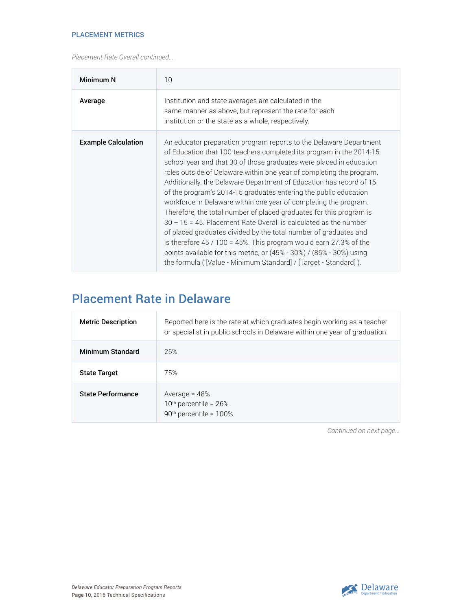#### PLACEMENT METRICS

*Placement Rate Overall continued...*

| Minimum N                  | 10                                                                                                                                                                                                                                                                                                                                                                                                                                                                                                                                                                                                                                                                                                                                                                                                                                                                                                                                                    |
|----------------------------|-------------------------------------------------------------------------------------------------------------------------------------------------------------------------------------------------------------------------------------------------------------------------------------------------------------------------------------------------------------------------------------------------------------------------------------------------------------------------------------------------------------------------------------------------------------------------------------------------------------------------------------------------------------------------------------------------------------------------------------------------------------------------------------------------------------------------------------------------------------------------------------------------------------------------------------------------------|
| Average                    | Institution and state averages are calculated in the<br>same manner as above, but represent the rate for each<br>institution or the state as a whole, respectively.                                                                                                                                                                                                                                                                                                                                                                                                                                                                                                                                                                                                                                                                                                                                                                                   |
| <b>Example Calculation</b> | An educator preparation program reports to the Delaware Department<br>of Education that 100 teachers completed its program in the 2014-15<br>school year and that 30 of those graduates were placed in education<br>roles outside of Delaware within one year of completing the program.<br>Additionally, the Delaware Department of Education has record of 15<br>of the program's 2014-15 graduates entering the public education<br>workforce in Delaware within one year of completing the program.<br>Therefore, the total number of placed graduates for this program is<br>$30 + 15 = 45$ . Placement Rate Overall is calculated as the number<br>of placed graduates divided by the total number of graduates and<br>is therefore $45/100 = 45\%$ . This program would earn 27.3% of the<br>points available for this metric, or $(45\% - 30\%)$ / $(85\% - 30\%)$ using<br>the formula ( [Value - Minimum Standard] / [Target - Standard] ). |

### Placement Rate in Delaware

| <b>Metric Description</b> | Reported here is the rate at which graduates begin working as a teacher<br>or specialist in public schools in Delaware within one year of graduation. |
|---------------------------|-------------------------------------------------------------------------------------------------------------------------------------------------------|
| <b>Minimum Standard</b>   | 25%                                                                                                                                                   |
| <b>State Target</b>       | 75%                                                                                                                                                   |
| <b>State Performance</b>  | Average = $48\%$<br>$10th$ percentile = 26%<br>$90th$ percentile = 100%                                                                               |

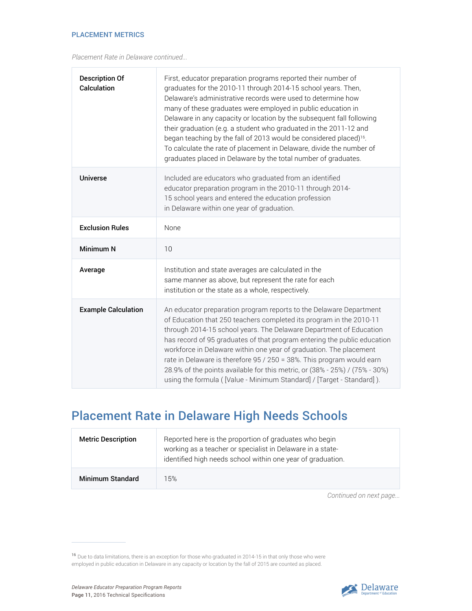*Placement Rate in Delaware continued...*

| <b>Description Of</b><br>Calculation | First, educator preparation programs reported their number of<br>graduates for the 2010-11 through 2014-15 school years. Then,<br>Delaware's administrative records were used to determine how<br>many of these graduates were employed in public education in<br>Delaware in any capacity or location by the subsequent fall following<br>their graduation (e.g. a student who graduated in the 2011-12 and<br>began teaching by the fall of 2013 would be considered placed) <sup>16</sup> .<br>To calculate the rate of placement in Delaware, divide the number of<br>graduates placed in Delaware by the total number of graduates. |
|--------------------------------------|------------------------------------------------------------------------------------------------------------------------------------------------------------------------------------------------------------------------------------------------------------------------------------------------------------------------------------------------------------------------------------------------------------------------------------------------------------------------------------------------------------------------------------------------------------------------------------------------------------------------------------------|
| <b>Universe</b>                      | Included are educators who graduated from an identified<br>educator preparation program in the 2010-11 through 2014-<br>15 school years and entered the education profession<br>in Delaware within one year of graduation.                                                                                                                                                                                                                                                                                                                                                                                                               |
| <b>Exclusion Rules</b>               | None                                                                                                                                                                                                                                                                                                                                                                                                                                                                                                                                                                                                                                     |
| Minimum N                            | 10                                                                                                                                                                                                                                                                                                                                                                                                                                                                                                                                                                                                                                       |
| Average                              | Institution and state averages are calculated in the<br>same manner as above, but represent the rate for each<br>institution or the state as a whole, respectively.                                                                                                                                                                                                                                                                                                                                                                                                                                                                      |
| <b>Example Calculation</b>           | An educator preparation program reports to the Delaware Department<br>of Education that 250 teachers completed its program in the 2010-11<br>through 2014-15 school years. The Delaware Department of Education<br>has record of 95 graduates of that program entering the public education<br>workforce in Delaware within one year of graduation. The placement<br>rate in Delaware is therefore 95 / 250 = 38%. This program would earn<br>28.9% of the points available for this metric, or (38% - 25%) / (75% - 30%)<br>using the formula ( [Value - Minimum Standard] / [Target - Standard] ).                                     |

### Placement Rate in Delaware High Needs Schools

| <b>Metric Description</b> | Reported here is the proportion of graduates who begin<br>working as a teacher or specialist in Delaware in a state-<br>identified high needs school within one year of graduation. |
|---------------------------|-------------------------------------------------------------------------------------------------------------------------------------------------------------------------------------|
| <b>Minimum Standard</b>   | 15%                                                                                                                                                                                 |



<sup>&</sup>lt;sup>16</sup> Due to data limitations, there is an exception for those who graduated in 2014-15 in that only those who were employed in public education in Delaware in any capacity or location by the fall of 2015 are counted as placed.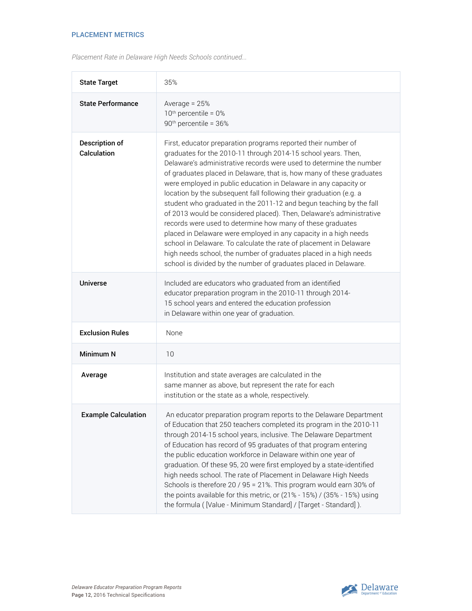#### PLACEMENT METRICS

| Placement Rate in Delaware High Needs Schools continued |
|---------------------------------------------------------|
|---------------------------------------------------------|

| <b>State Target</b>           | 35%                                                                                                                                                                                                                                                                                                                                                                                                                                                                                                                                                                                                                                                                                                                                                                                                                                                                                                                      |
|-------------------------------|--------------------------------------------------------------------------------------------------------------------------------------------------------------------------------------------------------------------------------------------------------------------------------------------------------------------------------------------------------------------------------------------------------------------------------------------------------------------------------------------------------------------------------------------------------------------------------------------------------------------------------------------------------------------------------------------------------------------------------------------------------------------------------------------------------------------------------------------------------------------------------------------------------------------------|
| <b>State Performance</b>      | Average = $25%$<br>$10th$ percentile = $0th$<br>90 <sup>th</sup> percentile = 36%                                                                                                                                                                                                                                                                                                                                                                                                                                                                                                                                                                                                                                                                                                                                                                                                                                        |
| Description of<br>Calculation | First, educator preparation programs reported their number of<br>graduates for the 2010-11 through 2014-15 school years. Then,<br>Delaware's administrative records were used to determine the number<br>of graduates placed in Delaware, that is, how many of these graduates<br>were employed in public education in Delaware in any capacity or<br>location by the subsequent fall following their graduation (e.g. a<br>student who graduated in the 2011-12 and begun teaching by the fall<br>of 2013 would be considered placed). Then, Delaware's administrative<br>records were used to determine how many of these graduates<br>placed in Delaware were employed in any capacity in a high needs<br>school in Delaware. To calculate the rate of placement in Delaware<br>high needs school, the number of graduates placed in a high needs<br>school is divided by the number of graduates placed in Delaware. |
| <b>Universe</b>               | Included are educators who graduated from an identified<br>educator preparation program in the 2010-11 through 2014-<br>15 school years and entered the education profession<br>in Delaware within one year of graduation.                                                                                                                                                                                                                                                                                                                                                                                                                                                                                                                                                                                                                                                                                               |
| <b>Exclusion Rules</b>        | None                                                                                                                                                                                                                                                                                                                                                                                                                                                                                                                                                                                                                                                                                                                                                                                                                                                                                                                     |
| <b>Minimum N</b>              | 10                                                                                                                                                                                                                                                                                                                                                                                                                                                                                                                                                                                                                                                                                                                                                                                                                                                                                                                       |
| Average                       | Institution and state averages are calculated in the<br>same manner as above, but represent the rate for each<br>institution or the state as a whole, respectively.                                                                                                                                                                                                                                                                                                                                                                                                                                                                                                                                                                                                                                                                                                                                                      |
| <b>Example Calculation</b>    | An educator preparation program reports to the Delaware Department<br>of Education that 250 teachers completed its program in the 2010-11<br>through 2014-15 school years, inclusive. The Delaware Department<br>of Education has record of 95 graduates of that program entering<br>the public education workforce in Delaware within one year of<br>graduation. Of these 95, 20 were first employed by a state-identified<br>high needs school. The rate of Placement in Delaware High Needs<br>Schools is therefore 20 / 95 = 21%. This program would earn 30% of<br>the points available for this metric, or (21% - 15%) / (35% - 15%) using<br>the formula ( [Value - Minimum Standard] / [Target - Standard] ).                                                                                                                                                                                                    |

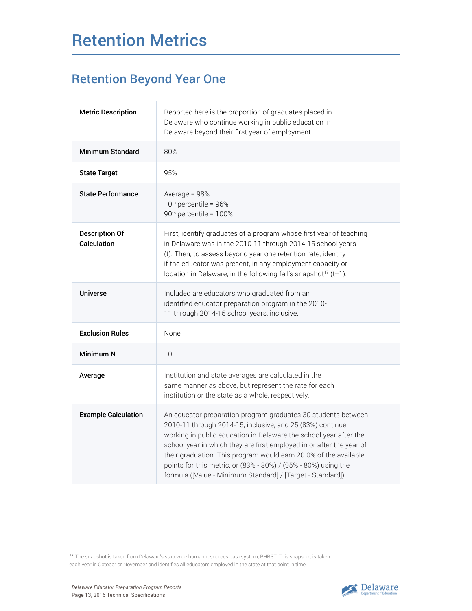## Retention Metrics

### Retention Beyond Year One

| <b>Metric Description</b>            | Reported here is the proportion of graduates placed in<br>Delaware who continue working in public education in<br>Delaware beyond their first year of employment.                                                                                                                                                                                                                                                                                                            |
|--------------------------------------|------------------------------------------------------------------------------------------------------------------------------------------------------------------------------------------------------------------------------------------------------------------------------------------------------------------------------------------------------------------------------------------------------------------------------------------------------------------------------|
| <b>Minimum Standard</b>              | 80%                                                                                                                                                                                                                                                                                                                                                                                                                                                                          |
| <b>State Target</b>                  | 95%                                                                                                                                                                                                                                                                                                                                                                                                                                                                          |
| <b>State Performance</b>             | Average = $98%$<br>10 <sup>th</sup> percentile = 96%<br>90 <sup>th</sup> percentile = 100%                                                                                                                                                                                                                                                                                                                                                                                   |
| <b>Description Of</b><br>Calculation | First, identify graduates of a program whose first year of teaching<br>in Delaware was in the 2010-11 through 2014-15 school years<br>(t). Then, to assess beyond year one retention rate, identify<br>if the educator was present, in any employment capacity or<br>location in Delaware, in the following fall's snapshot <sup>17</sup> (t+1).                                                                                                                             |
| Universe                             | Included are educators who graduated from an<br>identified educator preparation program in the 2010-<br>11 through 2014-15 school years, inclusive.                                                                                                                                                                                                                                                                                                                          |
| <b>Exclusion Rules</b>               | None                                                                                                                                                                                                                                                                                                                                                                                                                                                                         |
| Minimum N                            | 10                                                                                                                                                                                                                                                                                                                                                                                                                                                                           |
| Average                              | Institution and state averages are calculated in the<br>same manner as above, but represent the rate for each<br>institution or the state as a whole, respectively.                                                                                                                                                                                                                                                                                                          |
| <b>Example Calculation</b>           | An educator preparation program graduates 30 students between<br>2010-11 through 2014-15, inclusive, and 25 (83%) continue<br>working in public education in Delaware the school year after the<br>school year in which they are first employed in or after the year of<br>their graduation. This program would earn 20.0% of the available<br>points for this metric, or (83% - 80%) / (95% - 80%) using the<br>formula ([Value - Minimum Standard] / [Target - Standard]). |



<sup>17</sup> The snapshot is taken from Delaware's statewide human resources data system, PHRST. This snapshot is taken each year in October or November and identifies all educators employed in the state at that point in time.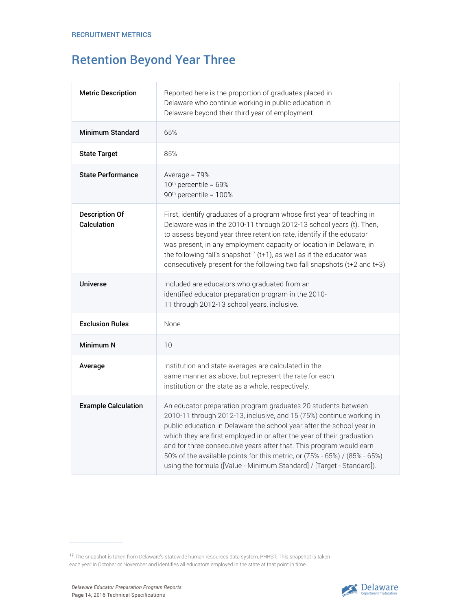### Retention Beyond Year Three

| <b>Metric Description</b>            | Reported here is the proportion of graduates placed in<br>Delaware who continue working in public education in<br>Delaware beyond their third year of employment.                                                                                                                                                                                                                                                                                                                                                     |
|--------------------------------------|-----------------------------------------------------------------------------------------------------------------------------------------------------------------------------------------------------------------------------------------------------------------------------------------------------------------------------------------------------------------------------------------------------------------------------------------------------------------------------------------------------------------------|
| <b>Minimum Standard</b>              | 65%                                                                                                                                                                                                                                                                                                                                                                                                                                                                                                                   |
| <b>State Target</b>                  | 85%                                                                                                                                                                                                                                                                                                                                                                                                                                                                                                                   |
| <b>State Performance</b>             | Average = $79%$<br>10 <sup>th</sup> percentile = 69%<br>90 <sup>th</sup> percentile = 100%                                                                                                                                                                                                                                                                                                                                                                                                                            |
| <b>Description Of</b><br>Calculation | First, identify graduates of a program whose first year of teaching in<br>Delaware was in the 2010-11 through 2012-13 school years (t). Then,<br>to assess beyond year three retention rate, identify if the educator<br>was present, in any employment capacity or location in Delaware, in<br>the following fall's snapshot <sup>17</sup> (t+1), as well as if the educator was<br>consecutively present for the following two fall snapshots (t+2 and t+3).                                                        |
| <b>Universe</b>                      | Included are educators who graduated from an<br>identified educator preparation program in the 2010-<br>11 through 2012-13 school years, inclusive.                                                                                                                                                                                                                                                                                                                                                                   |
| <b>Exclusion Rules</b>               | None                                                                                                                                                                                                                                                                                                                                                                                                                                                                                                                  |
| <b>Minimum N</b>                     | 10                                                                                                                                                                                                                                                                                                                                                                                                                                                                                                                    |
| Average                              | Institution and state averages are calculated in the<br>same manner as above, but represent the rate for each<br>institution or the state as a whole, respectively.                                                                                                                                                                                                                                                                                                                                                   |
| <b>Example Calculation</b>           | An educator preparation program graduates 20 students between<br>2010-11 through 2012-13, inclusive, and 15 (75%) continue working in<br>public education in Delaware the school year after the school year in<br>which they are first employed in or after the year of their graduation<br>and for three consecutive years after that. This program would earn<br>50% of the available points for this metric, or (75% - 65%) / (85% - 65%)<br>using the formula ([Value - Minimum Standard] / [Target - Standard]). |



<sup>17</sup> The snapshot is taken from Delaware's statewide human resources data system, PHRST. This snapshot is taken each year in October or November and identifies all educators employed in the state at that point in time.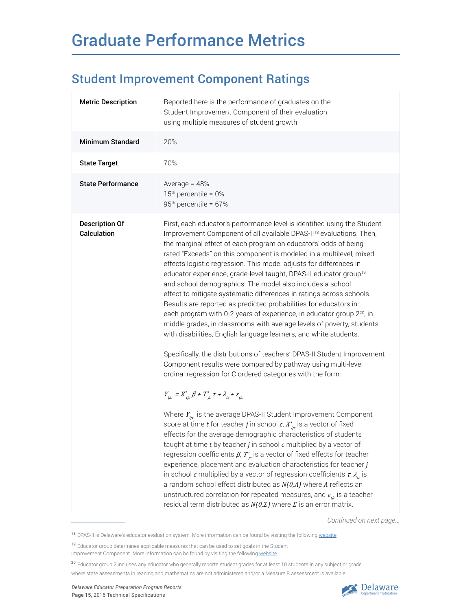## Graduate Performance Metrics

### Student Improvement Component Ratings

| <b>Metric Description</b>            | Reported here is the performance of graduates on the<br>Student Improvement Component of their evaluation<br>using multiple measures of student growth.                                                                                                                                                                                                                                                                                                                                                                                                                                                                                                                                                                                                                                                                                                                                                                                                                                                                                                                                                                                                                                                                                                                                                                                                                                                                                                                                                                                                                                                                                                                                                                                                                                                                                                                                                                                                                                                                                      |
|--------------------------------------|----------------------------------------------------------------------------------------------------------------------------------------------------------------------------------------------------------------------------------------------------------------------------------------------------------------------------------------------------------------------------------------------------------------------------------------------------------------------------------------------------------------------------------------------------------------------------------------------------------------------------------------------------------------------------------------------------------------------------------------------------------------------------------------------------------------------------------------------------------------------------------------------------------------------------------------------------------------------------------------------------------------------------------------------------------------------------------------------------------------------------------------------------------------------------------------------------------------------------------------------------------------------------------------------------------------------------------------------------------------------------------------------------------------------------------------------------------------------------------------------------------------------------------------------------------------------------------------------------------------------------------------------------------------------------------------------------------------------------------------------------------------------------------------------------------------------------------------------------------------------------------------------------------------------------------------------------------------------------------------------------------------------------------------------|
| <b>Minimum Standard</b>              | 20%                                                                                                                                                                                                                                                                                                                                                                                                                                                                                                                                                                                                                                                                                                                                                                                                                                                                                                                                                                                                                                                                                                                                                                                                                                                                                                                                                                                                                                                                                                                                                                                                                                                                                                                                                                                                                                                                                                                                                                                                                                          |
| <b>State Target</b>                  | 70%                                                                                                                                                                                                                                                                                                                                                                                                                                                                                                                                                                                                                                                                                                                                                                                                                                                                                                                                                                                                                                                                                                                                                                                                                                                                                                                                                                                                                                                                                                                                                                                                                                                                                                                                                                                                                                                                                                                                                                                                                                          |
| <b>State Performance</b>             | Average = $48%$<br>$15th$ percentile = 0%<br>95 <sup>th</sup> percentile = 67%                                                                                                                                                                                                                                                                                                                                                                                                                                                                                                                                                                                                                                                                                                                                                                                                                                                                                                                                                                                                                                                                                                                                                                                                                                                                                                                                                                                                                                                                                                                                                                                                                                                                                                                                                                                                                                                                                                                                                               |
| <b>Description Of</b><br>Calculation | First, each educator's performance level is identified using the Student<br>Improvement Component of all available DPAS-II <sup>18</sup> evaluations. Then,<br>the marginal effect of each program on educators' odds of being<br>rated "Exceeds" on this component is modeled in a multilevel, mixed<br>effects logistic regression. This model adjusts for differences in<br>educator experience, grade-level taught, DPAS-II educator group <sup>19</sup><br>and school demographics. The model also includes a school<br>effect to mitigate systematic differences in ratings across schools.<br>Results are reported as predicted probabilities for educators in<br>each program with 0-2 years of experience, in educator group 2 <sup>20</sup> , in<br>middle grades, in classrooms with average levels of poverty, students<br>with disabilities, English language learners, and white students.<br>Specifically, the distributions of teachers' DPAS-II Student Improvement<br>Component results were compared by pathway using multi-level<br>ordinal regression for C ordered categories with the form:<br>$Y_{tic} = X'_{tic} \beta + T'_{ic} \tau + \lambda_{tc} + \varepsilon_{tic}$<br>Where $Y_{tic}$ is the average DPAS-II Student Improvement Component<br>score at time t for teacher j in school $c$ , $X'_{\text{nc}}$ is a vector of fixed<br>effects for the average demographic characteristics of students<br>taught at time $t$ by teacher $j$ in school $c$ multiplied by a vector of<br>regression coefficients $\beta$ , $T'_{k}$ is a vector of fixed effects for teacher<br>experience, placement and evaluation characteristics for teacher $j$<br>in school c multiplied by a vector of regression coefficients $\tau$ , $\lambda_{\kappa}$ is<br>a random school effect distributed as $N(0,\Lambda)$ where $\Lambda$ reflects an<br>unstructured correlation for repeated measures, and $\varepsilon_{tc}$ is a teacher<br>residual term distributed as $N(0,\Sigma)$ where $\Sigma$ is an error matrix. |



<sup>&</sup>lt;sup>18</sup> DPAS-II is Delaware's educator evaluation system. More information can be found by visiting the following [website.](http://www.doe.k12.de.us/domain/375)

<sup>&</sup>lt;sup>19</sup> Educator group determines applicable measures that can be used to set goals in the Student Improvement Component. More information can be found by visiting the following [website](http://www.doe.k12.de.us/cms/lib09/DE01922744/Centricity/Domain/375/2016 DPAS II Guide for Teachers_RevisedJN.pdf).

<sup>20</sup> Educator group 2 includes any educator who generally reports student grades for at least 10 students in any subject or grade

where state assessments in reading and mathematics are not administered and/or a Measure B assessment is available.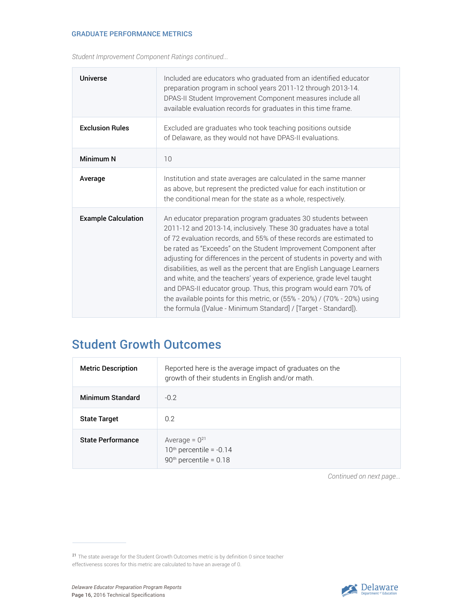*Student Improvement Component Ratings continued...*

| <b>Universe</b>            | Included are educators who graduated from an identified educator<br>preparation program in school years 2011-12 through 2013-14.<br>DPAS-II Student Improvement Component measures include all<br>available evaluation records for graduates in this time frame.                                                                                                                                                                                                                                                                                                                                                                                                                                                                  |
|----------------------------|-----------------------------------------------------------------------------------------------------------------------------------------------------------------------------------------------------------------------------------------------------------------------------------------------------------------------------------------------------------------------------------------------------------------------------------------------------------------------------------------------------------------------------------------------------------------------------------------------------------------------------------------------------------------------------------------------------------------------------------|
| <b>Exclusion Rules</b>     | Excluded are graduates who took teaching positions outside<br>of Delaware, as they would not have DPAS-II evaluations.                                                                                                                                                                                                                                                                                                                                                                                                                                                                                                                                                                                                            |
| Minimum N                  | 10                                                                                                                                                                                                                                                                                                                                                                                                                                                                                                                                                                                                                                                                                                                                |
| Average                    | Institution and state averages are calculated in the same manner<br>as above, but represent the predicted value for each institution or<br>the conditional mean for the state as a whole, respectively.                                                                                                                                                                                                                                                                                                                                                                                                                                                                                                                           |
| <b>Example Calculation</b> | An educator preparation program graduates 30 students between<br>2011-12 and 2013-14, inclusively. These 30 graduates have a total<br>of 72 evaluation records, and 55% of these records are estimated to<br>be rated as "Exceeds" on the Student Improvement Component after<br>adjusting for differences in the percent of students in poverty and with<br>disabilities, as well as the percent that are English Language Learners<br>and white, and the teachers' years of experience, grade level taught<br>and DPAS-II educator group. Thus, this program would earn 70% of<br>the available points for this metric, or $(55% - 20%) / (70% - 20%)$ using<br>the formula ([Value - Minimum Standard] / [Target - Standard]). |

### Student Growth Outcomes

| <b>Metric Description</b> | Reported here is the average impact of graduates on the<br>growth of their students in English and/or math. |
|---------------------------|-------------------------------------------------------------------------------------------------------------|
| Minimum Standard          | $-0.2$                                                                                                      |
| <b>State Target</b>       | 0.2                                                                                                         |
| <b>State Performance</b>  | Average = $0^{21}$<br>$10th$ percentile = -0.14<br>$90th$ percentile = 0.18                                 |



<sup>21</sup> The state average for the Student Growth Outcomes metric is by definition 0 since teacher effectiveness scores for this metric are calculated to have an average of 0.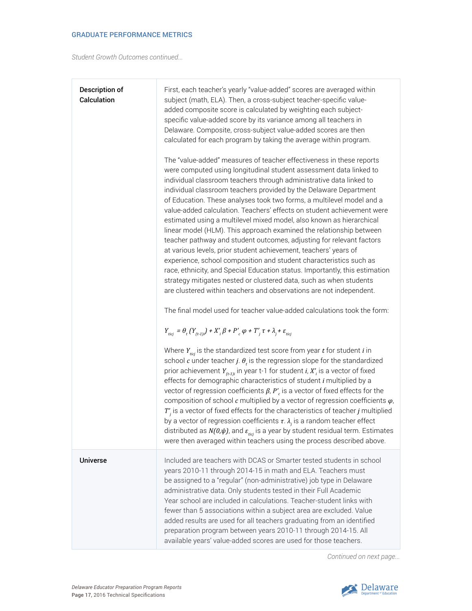*Student Growth Outcomes continued...*

 $\overline{\Gamma}$ 

| Description of<br>Calculation | First, each teacher's yearly "value-added" scores are averaged within<br>subject (math, ELA). Then, a cross-subject teacher-specific value-<br>added composite score is calculated by weighting each subject-<br>specific value-added score by its variance among all teachers in<br>Delaware. Composite, cross-subject value-added scores are then<br>calculated for each program by taking the average within program.<br>The "value-added" measures of teacher effectiveness in these reports<br>were computed using longitudinal student assessment data linked to<br>individual classroom teachers through administrative data linked to<br>individual classroom teachers provided by the Delaware Department<br>of Education. These analyses took two forms, a multilevel model and a<br>value-added calculation. Teachers' effects on student achievement were<br>estimated using a multilevel mixed model, also known as hierarchical<br>linear model (HLM). This approach examined the relationship between<br>teacher pathway and student outcomes, adjusting for relevant factors<br>at various levels, prior student achievement, teachers' years of<br>experience, school composition and student characteristics such as<br>race, ethnicity, and Special Education status. Importantly, this estimation<br>strategy mitigates nested or clustered data, such as when students<br>are clustered within teachers and observations are not independent.<br>The final model used for teacher value-added calculations took the form:<br>$Y_{ticj} = \theta_t (Y_{(t-1)j}) + X'_{i} \beta + P'_{c} \varphi + T'_{j} \tau + \lambda_j + \varepsilon_{ticj}$<br>Where $Y_{ticj}$ is the standardized test score from year $t$ for student $i$ in<br>school $c$ under teacher j. $\theta_t$ is the regression slope for the standardized<br>prior achievement $Y_{(t-1)i}$ in year t-1 for student <i>i</i> , $X_i$ is a vector of fixed<br>effects for demographic characteristics of student i multiplied by a<br>vector of regression coefficients $\beta$ , $P'$ is a vector of fixed effects for the<br>composition of school $c$ multiplied by a vector of regression coefficients $\varphi$ ,<br>$T'_{j}$ is a vector of fixed effects for the characteristics of teacher j multiplied<br>by a vector of regression coefficients $\tau$ . $\lambda_i$ is a random teacher effect<br>distributed as $N(0,\psi)$ , and $\varepsilon_{\scriptscriptstyle t\!i\!q\!j}$ is a year by student residual term. Estimates |
|-------------------------------|-------------------------------------------------------------------------------------------------------------------------------------------------------------------------------------------------------------------------------------------------------------------------------------------------------------------------------------------------------------------------------------------------------------------------------------------------------------------------------------------------------------------------------------------------------------------------------------------------------------------------------------------------------------------------------------------------------------------------------------------------------------------------------------------------------------------------------------------------------------------------------------------------------------------------------------------------------------------------------------------------------------------------------------------------------------------------------------------------------------------------------------------------------------------------------------------------------------------------------------------------------------------------------------------------------------------------------------------------------------------------------------------------------------------------------------------------------------------------------------------------------------------------------------------------------------------------------------------------------------------------------------------------------------------------------------------------------------------------------------------------------------------------------------------------------------------------------------------------------------------------------------------------------------------------------------------------------------------------------------------------------------------------------------------------------------------------------------------------------------------------------------------------------------------------------------------------------------------------------------------------------------------------------------------------------------------------------------------------------------------------------------------------------------------------------------------------------------------------------------------------------------------------------|
|                               | were then averaged within teachers using the process described above.                                                                                                                                                                                                                                                                                                                                                                                                                                                                                                                                                                                                                                                                                                                                                                                                                                                                                                                                                                                                                                                                                                                                                                                                                                                                                                                                                                                                                                                                                                                                                                                                                                                                                                                                                                                                                                                                                                                                                                                                                                                                                                                                                                                                                                                                                                                                                                                                                                                         |
| <b>Universe</b>               | Included are teachers with DCAS or Smarter tested students in school<br>years 2010-11 through 2014-15 in math and ELA. Teachers must<br>be assigned to a "regular" (non-administrative) job type in Delaware<br>administrative data. Only students tested in their Full Academic<br>Year school are included in calculations. Teacher-student links with<br>fewer than 5 associations within a subject area are excluded. Value<br>added results are used for all teachers graduating from an identified<br>preparation program between years 2010-11 through 2014-15. All<br>available years' value-added scores are used for those teachers.                                                                                                                                                                                                                                                                                                                                                                                                                                                                                                                                                                                                                                                                                                                                                                                                                                                                                                                                                                                                                                                                                                                                                                                                                                                                                                                                                                                                                                                                                                                                                                                                                                                                                                                                                                                                                                                                                |

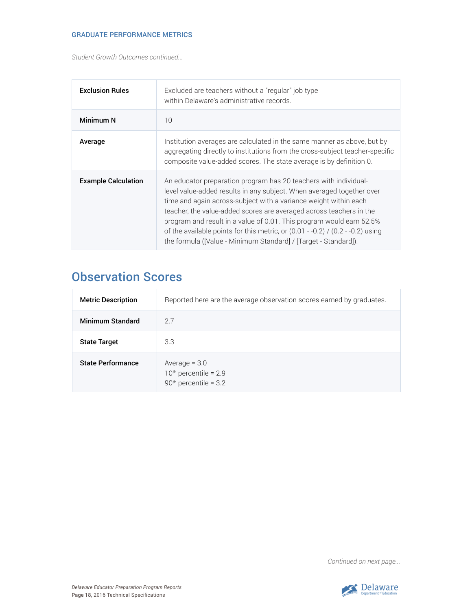*Student Growth Outcomes continued...*

| <b>Exclusion Rules</b>     | Excluded are teachers without a "regular" job type<br>within Delaware's administrative records.                                                                                                                                                                                                                                                                                                                                                                                                                     |
|----------------------------|---------------------------------------------------------------------------------------------------------------------------------------------------------------------------------------------------------------------------------------------------------------------------------------------------------------------------------------------------------------------------------------------------------------------------------------------------------------------------------------------------------------------|
| Minimum N                  | 10                                                                                                                                                                                                                                                                                                                                                                                                                                                                                                                  |
| Average                    | Institution averages are calculated in the same manner as above, but by<br>aggregating directly to institutions from the cross-subject teacher-specific<br>composite value-added scores. The state average is by definition 0.                                                                                                                                                                                                                                                                                      |
| <b>Example Calculation</b> | An educator preparation program has 20 teachers with individual-<br>level value-added results in any subject. When averaged together over<br>time and again across-subject with a variance weight within each<br>teacher, the value-added scores are averaged across teachers in the<br>program and result in a value of 0.01. This program would earn 52.5%<br>of the available points for this metric, or $(0.01 - 0.2)$ / $(0.2 - 0.2)$ using<br>the formula ([Value - Minimum Standard] / [Target - Standard]). |

### Observation Scores

| <b>Metric Description</b> | Reported here are the average observation scores earned by graduates. |
|---------------------------|-----------------------------------------------------------------------|
| <b>Minimum Standard</b>   | 27                                                                    |
| <b>State Target</b>       | 3.3                                                                   |
| <b>State Performance</b>  | Average $= 3.0$<br>$10th$ percentile = 2.9<br>$90th$ percentile = 3.2 |

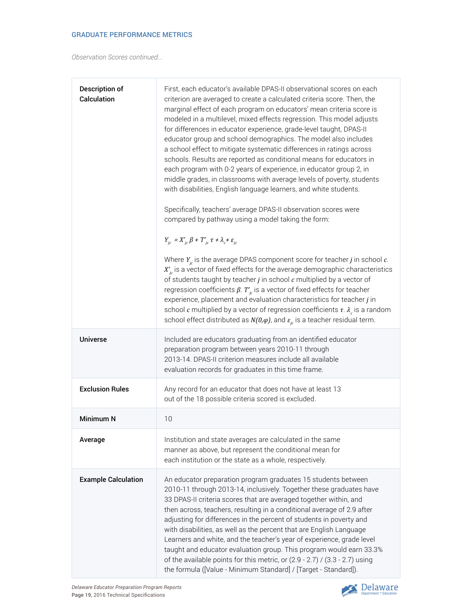*Observation Scores continued...*

| Description of<br>Calculation | First, each educator's available DPAS-II observational scores on each<br>criterion are averaged to create a calculated criteria score. Then, the<br>marginal effect of each program on educators' mean criteria score is<br>modeled in a multilevel, mixed effects regression. This model adjusts<br>for differences in educator experience, grade-level taught, DPAS-II<br>educator group and school demographics. The model also includes<br>a school effect to mitigate systematic differences in ratings across<br>schools. Results are reported as conditional means for educators in<br>each program with 0-2 years of experience, in educator group 2, in<br>middle grades, in classrooms with average levels of poverty, students<br>with disabilities, English language learners, and white students.<br>Specifically, teachers' average DPAS-II observation scores were<br>compared by pathway using a model taking the form:<br>$Y_{ic} = X'_{ic} \beta + T'_{ic} \tau + \lambda_c + \varepsilon_{ic}$<br>Where $Y_{i c}$ is the average DPAS component score for teacher <i>j</i> in school $c$ .<br>$X'_{k}$ is a vector of fixed effects for the average demographic characteristics<br>of students taught by teacher $j$ in school $c$ multiplied by a vector of<br>regression coefficients $\beta$ . $T'_{j_c}$ is a vector of fixed effects for teacher<br>experience, placement and evaluation characteristics for teacher j in<br>school c multiplied by a vector of regression coefficients $\tau$ . $\lambda_c$ is a random<br>school effect distributed as $N(0,\varphi)$ , and $\varepsilon_{i_c}$ is a teacher residual term. |
|-------------------------------|-------------------------------------------------------------------------------------------------------------------------------------------------------------------------------------------------------------------------------------------------------------------------------------------------------------------------------------------------------------------------------------------------------------------------------------------------------------------------------------------------------------------------------------------------------------------------------------------------------------------------------------------------------------------------------------------------------------------------------------------------------------------------------------------------------------------------------------------------------------------------------------------------------------------------------------------------------------------------------------------------------------------------------------------------------------------------------------------------------------------------------------------------------------------------------------------------------------------------------------------------------------------------------------------------------------------------------------------------------------------------------------------------------------------------------------------------------------------------------------------------------------------------------------------------------------------------------------------------------------------------------------------------------|
| <b>Universe</b>               | Included are educators graduating from an identified educator<br>preparation program between years 2010-11 through<br>2013-14. DPAS-II criterion measures include all available<br>evaluation records for graduates in this time frame.                                                                                                                                                                                                                                                                                                                                                                                                                                                                                                                                                                                                                                                                                                                                                                                                                                                                                                                                                                                                                                                                                                                                                                                                                                                                                                                                                                                                               |
| <b>Exclusion Rules</b>        | Any record for an educator that does not have at least 13<br>out of the 18 possible criteria scored is excluded.                                                                                                                                                                                                                                                                                                                                                                                                                                                                                                                                                                                                                                                                                                                                                                                                                                                                                                                                                                                                                                                                                                                                                                                                                                                                                                                                                                                                                                                                                                                                      |
| <b>Minimum N</b>              | 10                                                                                                                                                                                                                                                                                                                                                                                                                                                                                                                                                                                                                                                                                                                                                                                                                                                                                                                                                                                                                                                                                                                                                                                                                                                                                                                                                                                                                                                                                                                                                                                                                                                    |
| Average                       | Institution and state averages are calculated in the same<br>manner as above, but represent the conditional mean for<br>each institution or the state as a whole, respectively.                                                                                                                                                                                                                                                                                                                                                                                                                                                                                                                                                                                                                                                                                                                                                                                                                                                                                                                                                                                                                                                                                                                                                                                                                                                                                                                                                                                                                                                                       |
| <b>Example Calculation</b>    | An educator preparation program graduates 15 students between<br>2010-11 through 2013-14, inclusively. Together these graduates have<br>33 DPAS-II criteria scores that are averaged together within, and<br>then across, teachers, resulting in a conditional average of 2.9 after<br>adjusting for differences in the percent of students in poverty and<br>with disabilities, as well as the percent that are English Language<br>Learners and white, and the teacher's year of experience, grade level<br>taught and educator evaluation group. This program would earn 33.3%<br>of the available points for this metric, or (2.9 - 2.7) / (3.3 - 2.7) using<br>the formula ([Value - Minimum Standard] / [Target - Standard]).                                                                                                                                                                                                                                                                                                                                                                                                                                                                                                                                                                                                                                                                                                                                                                                                                                                                                                                   |

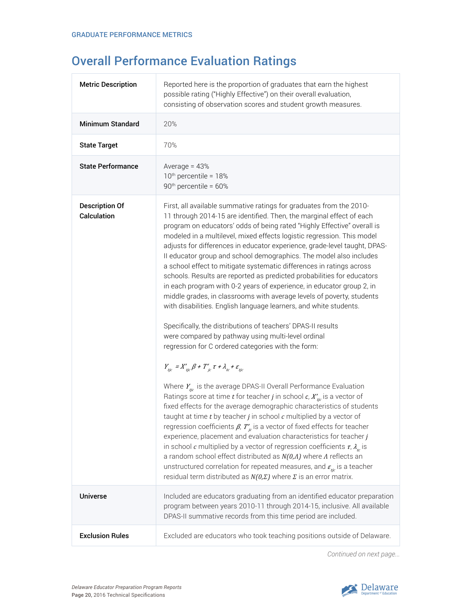### Overall Performance Evaluation Ratings

| <b>Metric Description</b>            | Reported here is the proportion of graduates that earn the highest<br>possible rating ("Highly Effective") on their overall evaluation,<br>consisting of observation scores and student growth measures.                                                                                                                                                                                                                                                                                                                                                                                                                                                                                                                                                                                                                                                                                                                                                                                                                                                                                                                                                                                                                                                                                                                                                                                                                                                                                                                                                                                                                                                                                                                                                                                                                                                                                                                                       |  |  |  |  |  |  |  |
|--------------------------------------|------------------------------------------------------------------------------------------------------------------------------------------------------------------------------------------------------------------------------------------------------------------------------------------------------------------------------------------------------------------------------------------------------------------------------------------------------------------------------------------------------------------------------------------------------------------------------------------------------------------------------------------------------------------------------------------------------------------------------------------------------------------------------------------------------------------------------------------------------------------------------------------------------------------------------------------------------------------------------------------------------------------------------------------------------------------------------------------------------------------------------------------------------------------------------------------------------------------------------------------------------------------------------------------------------------------------------------------------------------------------------------------------------------------------------------------------------------------------------------------------------------------------------------------------------------------------------------------------------------------------------------------------------------------------------------------------------------------------------------------------------------------------------------------------------------------------------------------------------------------------------------------------------------------------------------------------|--|--|--|--|--|--|--|
| <b>Minimum Standard</b>              | 20%                                                                                                                                                                                                                                                                                                                                                                                                                                                                                                                                                                                                                                                                                                                                                                                                                                                                                                                                                                                                                                                                                                                                                                                                                                                                                                                                                                                                                                                                                                                                                                                                                                                                                                                                                                                                                                                                                                                                            |  |  |  |  |  |  |  |
| <b>State Target</b>                  | 70%                                                                                                                                                                                                                                                                                                                                                                                                                                                                                                                                                                                                                                                                                                                                                                                                                                                                                                                                                                                                                                                                                                                                                                                                                                                                                                                                                                                                                                                                                                                                                                                                                                                                                                                                                                                                                                                                                                                                            |  |  |  |  |  |  |  |
| <b>State Performance</b>             | Average = $43%$<br>10 <sup>th</sup> percentile = 18%<br>90 <sup>th</sup> percentile = 60%                                                                                                                                                                                                                                                                                                                                                                                                                                                                                                                                                                                                                                                                                                                                                                                                                                                                                                                                                                                                                                                                                                                                                                                                                                                                                                                                                                                                                                                                                                                                                                                                                                                                                                                                                                                                                                                      |  |  |  |  |  |  |  |
| <b>Description Of</b><br>Calculation | First, all available summative ratings for graduates from the 2010-<br>11 through 2014-15 are identified. Then, the marginal effect of each<br>program on educators' odds of being rated "Highly Effective" overall is<br>modeled in a multilevel, mixed effects logistic regression. This model<br>adjusts for differences in educator experience, grade-level taught, DPAS-<br>Il educator group and school demographics. The model also includes<br>a school effect to mitigate systematic differences in ratings across<br>schools. Results are reported as predicted probabilities for educators<br>in each program with 0-2 years of experience, in educator group 2, in<br>middle grades, in classrooms with average levels of poverty, students<br>with disabilities. English language learners, and white students.<br>Specifically, the distributions of teachers' DPAS-II results<br>were compared by pathway using multi-level ordinal<br>regression for C ordered categories with the form:<br>$Y_{tic} = X'_{tic} \beta + T'_{ic} \tau + \lambda_{tc} + \varepsilon_{tic}$<br>Where $Y_{tic}$ is the average DPAS-II Overall Performance Evaluation<br>Ratings score at time t for teacher j in school $c, X'_{\text{tric}}$ is a vector of<br>fixed effects for the average demographic characteristics of students<br>taught at time $t$ by teacher $j$ in school $c$ multiplied by a vector of<br>regression coefficients $\beta$ , $T'_{i,c}$ is a vector of fixed effects for teacher<br>experience, placement and evaluation characteristics for teacher $j$<br>in school c multiplied by a vector of regression coefficients $\tau$ , $\lambda_{\mu}$ is<br>a random school effect distributed as $N(0,\Lambda)$ where $\Lambda$ reflects an<br>unstructured correlation for repeated measures, and $\varepsilon_{\rm n c}$ is a teacher<br>residual term distributed as $N(0,\Sigma)$ where $\Sigma$ is an error matrix. |  |  |  |  |  |  |  |
| <b>Universe</b>                      | Included are educators graduating from an identified educator preparation<br>program between years 2010-11 through 2014-15, inclusive. All available<br>DPAS-II summative records from this time period are included.                                                                                                                                                                                                                                                                                                                                                                                                                                                                                                                                                                                                                                                                                                                                                                                                                                                                                                                                                                                                                                                                                                                                                                                                                                                                                                                                                                                                                                                                                                                                                                                                                                                                                                                          |  |  |  |  |  |  |  |
| <b>Exclusion Rules</b>               | Excluded are educators who took teaching positions outside of Delaware.                                                                                                                                                                                                                                                                                                                                                                                                                                                                                                                                                                                                                                                                                                                                                                                                                                                                                                                                                                                                                                                                                                                                                                                                                                                                                                                                                                                                                                                                                                                                                                                                                                                                                                                                                                                                                                                                        |  |  |  |  |  |  |  |
|                                      |                                                                                                                                                                                                                                                                                                                                                                                                                                                                                                                                                                                                                                                                                                                                                                                                                                                                                                                                                                                                                                                                                                                                                                                                                                                                                                                                                                                                                                                                                                                                                                                                                                                                                                                                                                                                                                                                                                                                                |  |  |  |  |  |  |  |

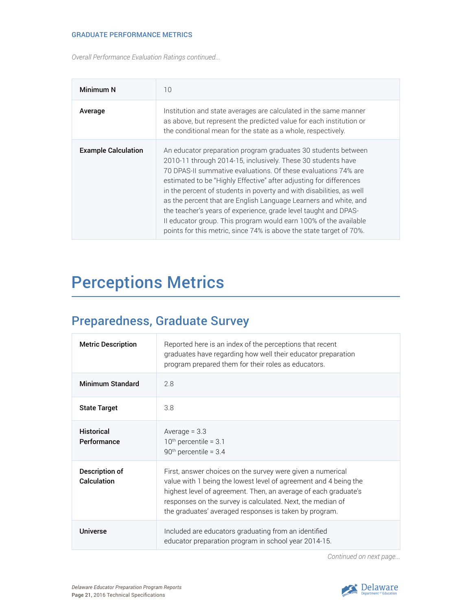*Overall Performance Evaluation Ratings continued...*

| Minimum N                  | 10                                                                                                                                                                                                                                                                                                                                                                                                                                                                                                                                                                                                                              |
|----------------------------|---------------------------------------------------------------------------------------------------------------------------------------------------------------------------------------------------------------------------------------------------------------------------------------------------------------------------------------------------------------------------------------------------------------------------------------------------------------------------------------------------------------------------------------------------------------------------------------------------------------------------------|
| Average                    | Institution and state averages are calculated in the same manner<br>as above, but represent the predicted value for each institution or<br>the conditional mean for the state as a whole, respectively.                                                                                                                                                                                                                                                                                                                                                                                                                         |
| <b>Example Calculation</b> | An educator preparation program graduates 30 students between<br>2010-11 through 2014-15, inclusively. These 30 students have<br>70 DPAS-II summative evaluations. Of these evaluations 74% are<br>estimated to be "Highly Effective" after adjusting for differences<br>in the percent of students in poverty and with disabilities, as well<br>as the percent that are English Language Learners and white, and<br>the teacher's years of experience, grade level taught and DPAS-<br>Il educator group. This program would earn 100% of the available<br>points for this metric, since 74% is above the state target of 70%. |

## Perceptions Metrics

### Preparedness, Graduate Survey

| <b>Metric Description</b>        | Reported here is an index of the perceptions that recent<br>graduates have regarding how well their educator preparation<br>program prepared them for their roles as educators.                                                                                                                                           |
|----------------------------------|---------------------------------------------------------------------------------------------------------------------------------------------------------------------------------------------------------------------------------------------------------------------------------------------------------------------------|
| <b>Minimum Standard</b>          | 2.8                                                                                                                                                                                                                                                                                                                       |
| <b>State Target</b>              | 3.8                                                                                                                                                                                                                                                                                                                       |
| <b>Historical</b><br>Performance | Average $= 3.3$<br>$10th$ percentile = 3.1<br>$90th$ percentile = 3.4                                                                                                                                                                                                                                                     |
| Description of<br>Calculation    | First, answer choices on the survey were given a numerical<br>value with 1 being the lowest level of agreement and 4 being the<br>highest level of agreement. Then, an average of each graduate's<br>responses on the survey is calculated. Next, the median of<br>the graduates' averaged responses is taken by program. |
| Universe                         | Included are educators graduating from an identified<br>educator preparation program in school year 2014-15.                                                                                                                                                                                                              |

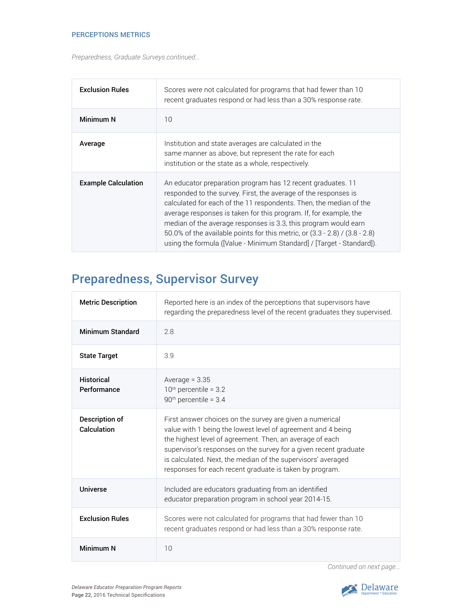#### PERCEPTIONS METRICS

*Preparedness, Graduate Surveys continued...*

| <b>Exclusion Rules</b>     | Scores were not calculated for programs that had fewer than 10<br>recent graduates respond or had less than a 30% response rate.                                                                                                                                                                                                                                                                                                                                                                     |
|----------------------------|------------------------------------------------------------------------------------------------------------------------------------------------------------------------------------------------------------------------------------------------------------------------------------------------------------------------------------------------------------------------------------------------------------------------------------------------------------------------------------------------------|
| Minimum N                  | 10                                                                                                                                                                                                                                                                                                                                                                                                                                                                                                   |
| Average                    | Institution and state averages are calculated in the<br>same manner as above, but represent the rate for each<br>institution or the state as a whole, respectively.                                                                                                                                                                                                                                                                                                                                  |
| <b>Example Calculation</b> | An educator preparation program has 12 recent graduates. 11<br>responded to the survey. First, the average of the responses is<br>calculated for each of the 11 respondents. Then, the median of the<br>average responses is taken for this program. If, for example, the<br>median of the average responses is 3.3, this program would earn<br>50.0% of the available points for this metric, or (3.3 - 2.8) / (3.8 - 2.8)<br>using the formula ([Value - Minimum Standard] / [Target - Standard]). |

### Preparedness, Supervisor Survey

| <b>Metric Description</b>        | Reported here is an index of the perceptions that supervisors have<br>regarding the preparedness level of the recent graduates they supervised.                                                                                                                                                                                                                                     |  |  |  |  |  |  |
|----------------------------------|-------------------------------------------------------------------------------------------------------------------------------------------------------------------------------------------------------------------------------------------------------------------------------------------------------------------------------------------------------------------------------------|--|--|--|--|--|--|
| Minimum Standard                 | 2.8                                                                                                                                                                                                                                                                                                                                                                                 |  |  |  |  |  |  |
| <b>State Target</b>              | 3.9                                                                                                                                                                                                                                                                                                                                                                                 |  |  |  |  |  |  |
| <b>Historical</b><br>Performance | Average = $3.35$<br>$10th$ percentile = 3.2<br>$90th$ percentile = 3.4                                                                                                                                                                                                                                                                                                              |  |  |  |  |  |  |
| Description of<br>Calculation    | First answer choices on the survey are given a numerical<br>value with 1 being the lowest level of agreement and 4 being<br>the highest level of agreement. Then, an average of each<br>supervisor's responses on the survey for a given recent graduate<br>is calculated. Next, the median of the supervisors' averaged<br>responses for each recent graduate is taken by program. |  |  |  |  |  |  |
| Universe                         | Included are educators graduating from an identified<br>educator preparation program in school year 2014-15.                                                                                                                                                                                                                                                                        |  |  |  |  |  |  |
| <b>Exclusion Rules</b>           | Scores were not calculated for programs that had fewer than 10<br>recent graduates respond or had less than a 30% response rate.                                                                                                                                                                                                                                                    |  |  |  |  |  |  |
| Minimum N                        | 10                                                                                                                                                                                                                                                                                                                                                                                  |  |  |  |  |  |  |

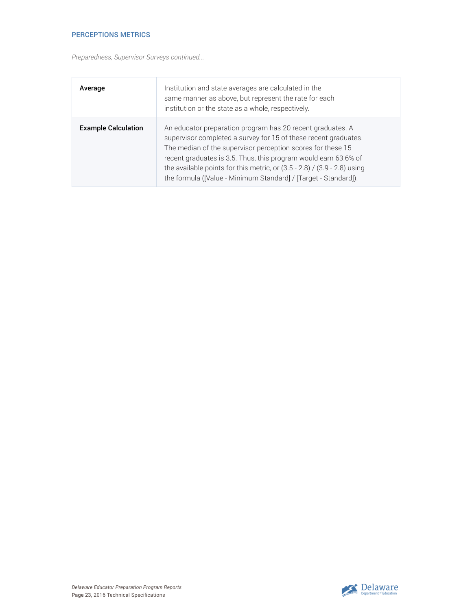#### PERCEPTIONS METRICS

*Preparedness, Supervisor Surveys continued...*

| Average                    | Institution and state averages are calculated in the<br>same manner as above, but represent the rate for each<br>institution or the state as a whole, respectively.                                                                                                                                                                                                                                                |
|----------------------------|--------------------------------------------------------------------------------------------------------------------------------------------------------------------------------------------------------------------------------------------------------------------------------------------------------------------------------------------------------------------------------------------------------------------|
| <b>Example Calculation</b> | An educator preparation program has 20 recent graduates. A<br>supervisor completed a survey for 15 of these recent graduates.<br>The median of the supervisor perception scores for these 15<br>recent graduates is 3.5. Thus, this program would earn 63.6% of<br>the available points for this metric, or $(3.5 - 2.8)$ / $(3.9 - 2.8)$ using<br>the formula ([Value - Minimum Standard] / [Target - Standard]). |

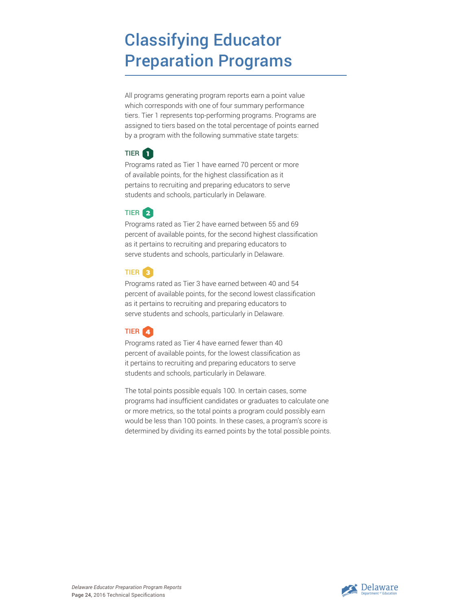## Classifying Educator Preparation Programs

All programs generating program reports earn a point value which corresponds with one of four summary performance tiers. Tier 1 represents top-performing programs. Programs are assigned to tiers based on the total percentage of points earned by a program with the following summative state targets:



Programs rated as Tier 1 have earned 70 percent or more of available points, for the highest classification as it pertains to recruiting and preparing educators to serve students and schools, particularly in Delaware.



Programs rated as Tier 2 have earned between 55 and 69 percent of available points, for the second highest classification as it pertains to recruiting and preparing educators to serve students and schools, particularly in Delaware.



Programs rated as Tier 3 have earned between 40 and 54 percent of available points, for the second lowest classification as it pertains to recruiting and preparing educators to serve students and schools, particularly in Delaware.



Programs rated as Tier 4 have earned fewer than 40 percent of available points, for the lowest classification as it pertains to recruiting and preparing educators to serve students and schools, particularly in Delaware.

The total points possible equals 100. In certain cases, some programs had insufficient candidates or graduates to calculate one or more metrics, so the total points a program could possibly earn would be less than 100 points. In these cases, a program's score is determined by dividing its earned points by the total possible points.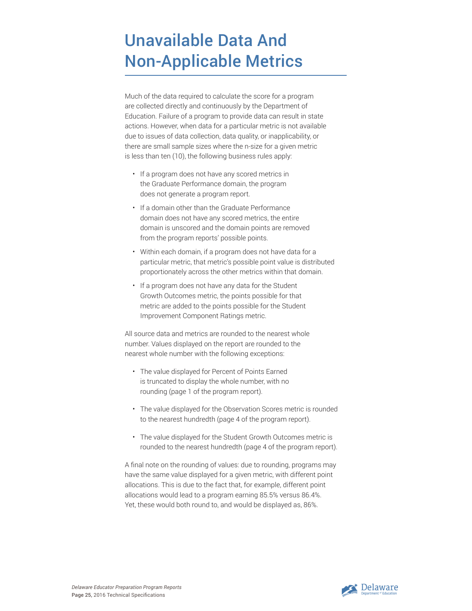## Unavailable Data And Non-Applicable Metrics

Much of the data required to calculate the score for a program are collected directly and continuously by the Department of Education. Failure of a program to provide data can result in state actions. However, when data for a particular metric is not available due to issues of data collection, data quality, or inapplicability, or there are small sample sizes where the n-size for a given metric is less than ten (10), the following business rules apply:

- If a program does not have any scored metrics in the Graduate Performance domain, the program does not generate a program report.
- If a domain other than the Graduate Performance domain does not have any scored metrics, the entire domain is unscored and the domain points are removed from the program reports' possible points.
- Within each domain, if a program does not have data for a particular metric, that metric's possible point value is distributed proportionately across the other metrics within that domain.
- If a program does not have any data for the Student Growth Outcomes metric, the points possible for that metric are added to the points possible for the Student Improvement Component Ratings metric.

All source data and metrics are rounded to the nearest whole number. Values displayed on the report are rounded to the nearest whole number with the following exceptions:

- The value displayed for Percent of Points Earned is truncated to display the whole number, with no rounding (page 1 of the program report).
- The value displayed for the Observation Scores metric is rounded to the nearest hundredth (page 4 of the program report).
- The value displayed for the Student Growth Outcomes metric is rounded to the nearest hundredth (page 4 of the program report).

A final note on the rounding of values: due to rounding, programs may have the same value displayed for a given metric, with different point allocations. This is due to the fact that, for example, different point allocations would lead to a program earning 85.5% versus 86.4%. Yet, these would both round to, and would be displayed as, 86%.

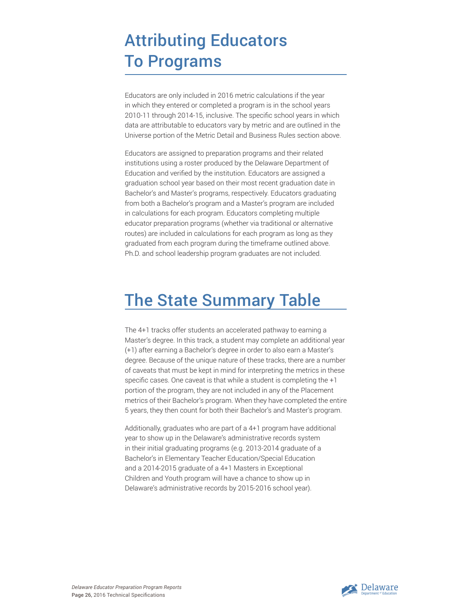## Attributing Educators To Programs

Educators are only included in 2016 metric calculations if the year in which they entered or completed a program is in the school years 2010-11 through 2014-15, inclusive. The specific school years in which data are attributable to educators vary by metric and are outlined in the Universe portion of the Metric Detail and Business Rules section above.

Educators are assigned to preparation programs and their related institutions using a roster produced by the Delaware Department of Education and verified by the institution. Educators are assigned a graduation school year based on their most recent graduation date in Bachelor's and Master's programs, respectively. Educators graduating from both a Bachelor's program and a Master's program are included in calculations for each program. Educators completing multiple educator preparation programs (whether via traditional or alternative routes) are included in calculations for each program as long as they graduated from each program during the timeframe outlined above. Ph.D. and school leadership program graduates are not included.

## The State Summary Table

The 4+1 tracks offer students an accelerated pathway to earning a Master's degree. In this track, a student may complete an additional year (+1) after earning a Bachelor's degree in order to also earn a Master's degree. Because of the unique nature of these tracks, there are a number of caveats that must be kept in mind for interpreting the metrics in these specific cases. One caveat is that while a student is completing the +1 portion of the program, they are not included in any of the Placement metrics of their Bachelor's program. When they have completed the entire 5 years, they then count for both their Bachelor's and Master's program.

Additionally, graduates who are part of a 4+1 program have additional year to show up in the Delaware's administrative records system in their initial graduating programs (e.g. 2013-2014 graduate of a Bachelor's in Elementary Teacher Education/Special Education and a 2014-2015 graduate of a 4+1 Masters in Exceptional Children and Youth program will have a chance to show up in Delaware's administrative records by 2015-2016 school year).

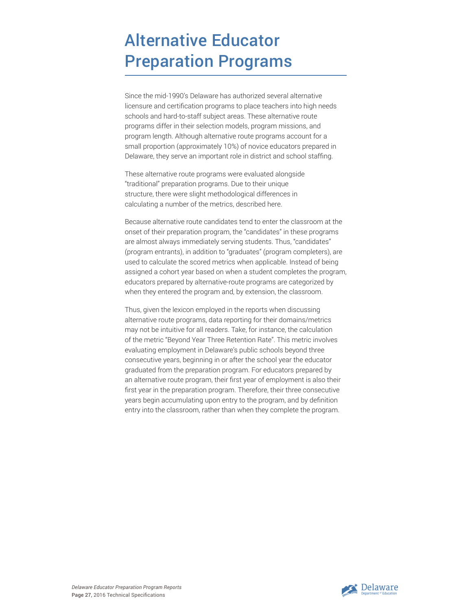## Alternative Educator Preparation Programs

Since the mid-1990's Delaware has authorized several alternative licensure and certification programs to place teachers into high needs schools and hard-to-staff subject areas. These alternative route programs differ in their selection models, program missions, and program length. Although alternative route programs account for a small proportion (approximately 10%) of novice educators prepared in Delaware, they serve an important role in district and school staffing.

These alternative route programs were evaluated alongside "traditional" preparation programs. Due to their unique structure, there were slight methodological differences in calculating a number of the metrics, described here.

Because alternative route candidates tend to enter the classroom at the onset of their preparation program, the "candidates" in these programs are almost always immediately serving students. Thus, "candidates" (program entrants), in addition to "graduates" (program completers), are used to calculate the scored metrics when applicable. Instead of being assigned a cohort year based on when a student completes the program, educators prepared by alternative-route programs are categorized by when they entered the program and, by extension, the classroom.

Thus, given the lexicon employed in the reports when discussing alternative route programs, data reporting for their domains/metrics may not be intuitive for all readers. Take, for instance, the calculation of the metric "Beyond Year Three Retention Rate". This metric involves evaluating employment in Delaware's public schools beyond three consecutive years, beginning in or after the school year the educator graduated from the preparation program. For educators prepared by an alternative route program, their first year of employment is also their first year in the preparation program. Therefore, their three consecutive years begin accumulating upon entry to the program, and by definition entry into the classroom, rather than when they complete the program.



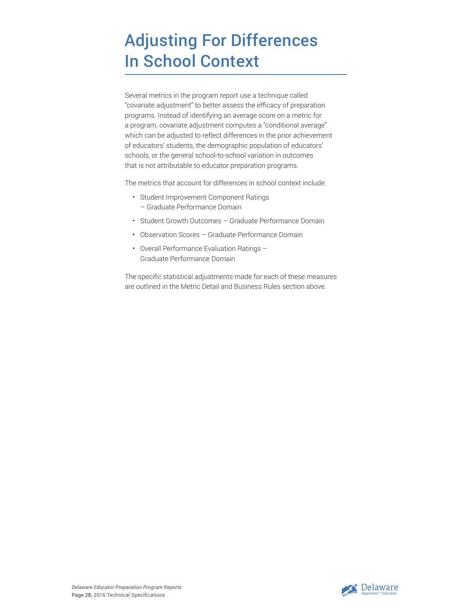## Adjusting For Differences In School Context

Several metrics in the program report use a technique called "covariate adjustment" to better assess the efficacy of preparation programs. Instead of identifying an average score on a metric for a program, covariate adjustment computes a "conditional average" which can be adjusted to reflect differences in the prior achievement of educators' students, the demographic population of educators' schools, or the general school-to-school variation in outcomes that is not attributable to educator preparation programs.

The metrics that account for differences in school context include:

- Student Improvement Component Ratings – Graduate Performance Domain
- Student Growth Outcomes Graduate Performance Domain
- Observation Scores Graduate Performance Domain
- Overall Performance Evaluation Ratings Graduate Performance Domain

The specific statistical adjustments made for each of these measures are outlined in the Metric Detail and Business Rules section above.

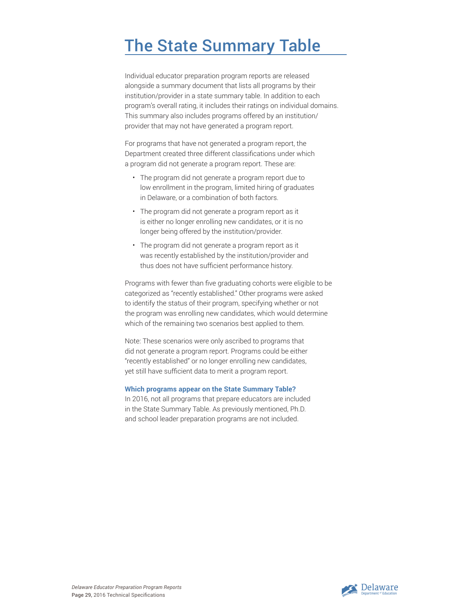## The State Summary Table

Individual educator preparation program reports are released alongside a summary document that lists all programs by their institution/provider in a state summary table. In addition to each program's overall rating, it includes their ratings on individual domains. This summary also includes programs offered by an institution/ provider that may not have generated a program report.

For programs that have not generated a program report, the Department created three different classifications under which a program did not generate a program report. These are:

- The program did not generate a program report due to low enrollment in the program, limited hiring of graduates in Delaware, or a combination of both factors.
- The program did not generate a program report as it is either no longer enrolling new candidates, or it is no longer being offered by the institution/provider.
- The program did not generate a program report as it was recently established by the institution/provider and thus does not have sufficient performance history.

Programs with fewer than five graduating cohorts were eligible to be categorized as "recently established." Other programs were asked to identify the status of their program, specifying whether or not the program was enrolling new candidates, which would determine which of the remaining two scenarios best applied to them.

Note: These scenarios were only ascribed to programs that did not generate a program report. Programs could be either "recently established" or no longer enrolling new candidates, yet still have sufficient data to merit a program report.

#### **Which programs appear on the State Summary Table?**

In 2016, not all programs that prepare educators are included in the State Summary Table. As previously mentioned, Ph.D. and school leader preparation programs are not included.